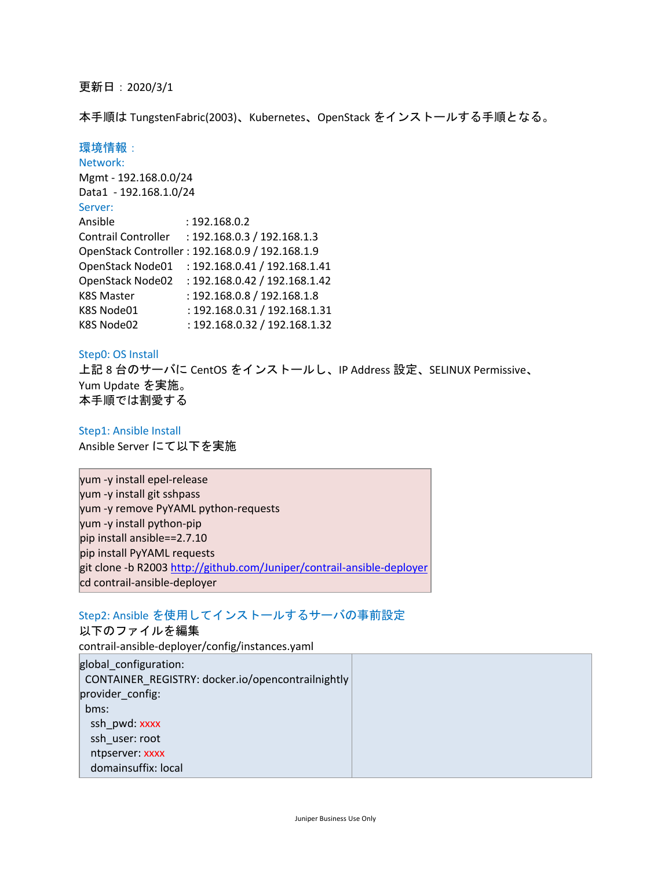## 更新日:2020/3/1

本手順は TungstenFabric(2003)、Kubernetes、OpenStack をインストールする手順となる。

# 環境情報:

| Network:               |                                                 |
|------------------------|-------------------------------------------------|
| Mgmt - 192.168.0.0/24  |                                                 |
| Data1 - 192.168.1.0/24 |                                                 |
| Server:                |                                                 |
| Ansible                | : 192.168.0.2                                   |
| Contrail Controller    | : 192.168.0.3 / 192.168.1.3                     |
|                        | OpenStack Controller: 192.168.0.9 / 192.168.1.9 |
| OpenStack Node01       | : 192.168.0.41 / 192.168.1.41                   |
| OpenStack Node02       | : 192.168.0.42 / 192.168.1.42                   |
| K8S Master             | : 192.168.0.8 / 192.168.1.8                     |
| K8S Node01             | : 192.168.0.31 / 192.168.1.31                   |
| K8S Node02             | : 192.168.0.32 / 192.168.1.32                   |

#### Step0: OS Install

上記 8 台のサーバに CentOS をインストールし、IP Address 設定、SELINUX Permissive、 Yum Update を実施。 本手順では割愛する

Step1: Ansible Install Ansible Server にて以下を実施

yum -y install epel-release yum -y install git sshpass yum -y remove PyYAML python-requests yum -y install python-pip pip install ansible==2.7.10 pip install PyYAML requests git clone -b R2003 http://github.com/Juniper/contrail-ansible-deployer cd contrail-ansible-deployer

# Step2: Ansible を使用してインストールするサーバの事前設定

以下のファイルを編集 contrail-ansible-deployer/config/instances.yaml global\_configuration: CONTAINER\_REGISTRY: docker.io/opencontrailnightly provider\_config: bms: ssh\_pwd: xxxx ssh\_user: root ntpserver: xxxx domainsuffix: local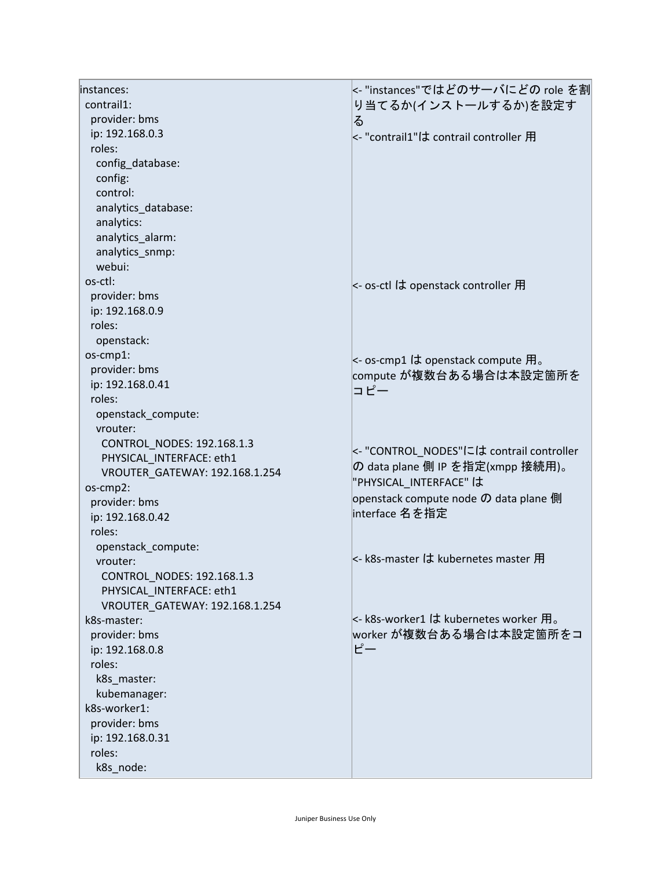| instances:                     | <- "instances"ではどのサーバにどの role を割         |
|--------------------------------|------------------------------------------|
| contrail1:                     | り当てるか(インストールするか)を設定す                     |
| provider: bms                  | る                                        |
| ip: 192.168.0.3                | <- "contrail1"は contrail controller 用    |
| roles:                         |                                          |
| config_database:               |                                          |
| config:                        |                                          |
| control:                       |                                          |
| analytics_database:            |                                          |
| analytics:                     |                                          |
| analytics_alarm:               |                                          |
| analytics_snmp:                |                                          |
| webui:                         |                                          |
| os-ctl:                        |                                          |
| provider: bms                  | <- os-ctl は openstack controller 用       |
| ip: 192.168.0.9                |                                          |
| roles:                         |                                          |
| openstack:                     |                                          |
| os-cmp1:                       |                                          |
| provider: bms                  | <- os-cmp1 は openstack compute 用。        |
| ip: 192.168.0.41               | compute が複数台ある場合は本設定箇所を                  |
| roles:                         | コピー                                      |
| openstack_compute:             |                                          |
| vrouter:                       |                                          |
| CONTROL NODES: 192.168.1.3     |                                          |
| PHYSICAL INTERFACE: eth1       | <- "CONTROL_NODES"には contrail controller |
| VROUTER GATEWAY: 192.168.1.254 | の data plane 側 IP を指定(xmpp 接続用)。         |
| os-cmp2:                       | "PHYSICAL_INTERFACE"は                    |
| provider: bms                  | openstack compute node の data plane 側    |
| ip: 192.168.0.42               | interface 名を指定                           |
| roles:                         |                                          |
| openstack compute:             |                                          |
| vrouter:                       | <- k8s-master は kubernetes master 用      |
| CONTROL NODES: 192.168.1.3     |                                          |
| PHYSICAL INTERFACE: eth1       |                                          |
| VROUTER_GATEWAY: 192.168.1.254 |                                          |
| k8s-master:                    | <- k8s-worker1 は kubernetes worker 用。    |
| provider: bms                  | worker が複数台ある場合は本設定箇所をコ                  |
| ip: 192.168.0.8                | ピー                                       |
| roles:                         |                                          |
| k8s_master:                    |                                          |
| kubemanager:                   |                                          |
| k8s-worker1:                   |                                          |
| provider: bms                  |                                          |
| ip: 192.168.0.31               |                                          |
| roles:                         |                                          |
| k8s_node:                      |                                          |
|                                |                                          |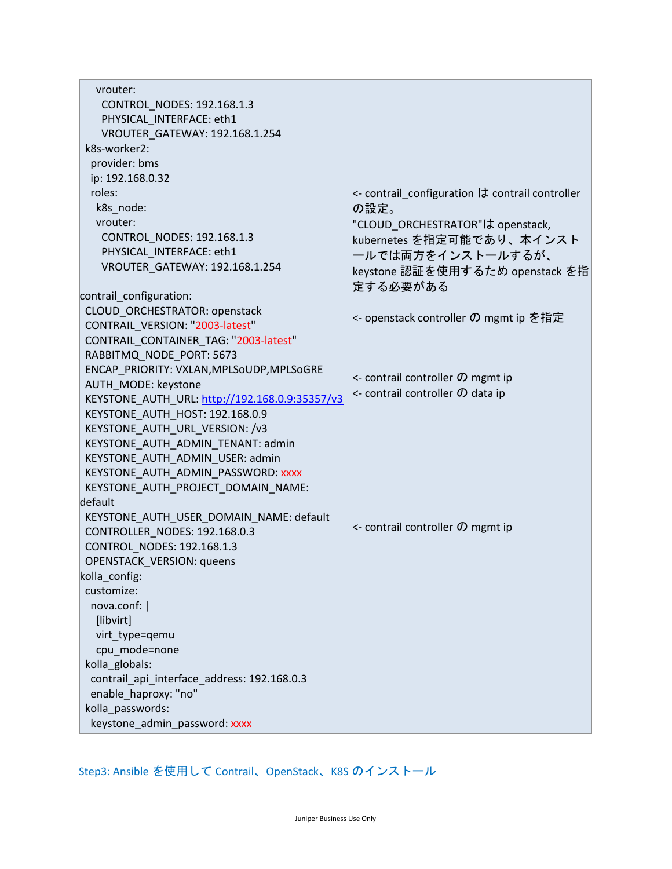| vrouter:                                       |                                                                |
|------------------------------------------------|----------------------------------------------------------------|
| CONTROL_NODES: 192.168.1.3                     |                                                                |
| PHYSICAL INTERFACE: eth1                       |                                                                |
| VROUTER GATEWAY: 192.168.1.254                 |                                                                |
| k8s-worker2:                                   |                                                                |
| provider: bms                                  |                                                                |
| ip: 192.168.0.32                               |                                                                |
| roles:                                         | $\kappa$ - contrail configuration $\sigma$ contrail controller |
| k8s_node:                                      | の設定。                                                           |
| vrouter:                                       | "CLOUD_ORCHESTRATOR"は openstack,                               |
| CONTROL NODES: 192.168.1.3                     | kubernetes を指定可能であり、本インスト                                      |
| PHYSICAL INTERFACE: eth1                       |                                                                |
| VROUTER_GATEWAY: 192.168.1.254                 | ールでは両方をインストールするが、                                              |
|                                                | keystone 認証を使用するため openstack を指                                |
| contrail_configuration:                        | 定する必要がある                                                       |
| CLOUD ORCHESTRATOR: openstack                  |                                                                |
| CONTRAIL VERSION: "2003-latest"                | <- openstack controller の mgmt ip を指定                          |
| CONTRAIL CONTAINER TAG: "2003-latest"          |                                                                |
| RABBITMQ NODE PORT: 5673                       |                                                                |
| ENCAP_PRIORITY: VXLAN, MPLSoUDP, MPLSoGRE      |                                                                |
| AUTH MODE: keystone                            | $\lt$ - contrail controller $\varnothing$ mgmt ip              |
| KEYSTONE_AUTH_URL: http://192.168.0.9:35357/v3 | $\lt$ - contrail controller $\bm{\mathcal{D}}$ data ip         |
| KEYSTONE_AUTH_HOST: 192.168.0.9                |                                                                |
| KEYSTONE_AUTH_URL_VERSION: /v3                 |                                                                |
| KEYSTONE_AUTH_ADMIN_TENANT: admin              |                                                                |
| KEYSTONE AUTH ADMIN USER: admin                |                                                                |
| KEYSTONE AUTH ADMIN PASSWORD: XXXX             |                                                                |
| KEYSTONE_AUTH_PROJECT_DOMAIN_NAME:             |                                                                |
| default                                        |                                                                |
| KEYSTONE AUTH USER DOMAIN NAME: default        |                                                                |
| CONTROLLER NODES: 192.168.0.3                  | $\lt$ - contrail controller $\bm{\mathcal{D}}$ mgmt ip         |
| CONTROL_NODES: 192.168.1.3                     |                                                                |
| <b>OPENSTACK_VERSION: queens</b>               |                                                                |
| kolla_config:                                  |                                                                |
| customize:                                     |                                                                |
| nova.conf:                                     |                                                                |
| [libvirt]                                      |                                                                |
| virt_type=qemu                                 |                                                                |
| cpu_mode=none                                  |                                                                |
| kolla_globals:                                 |                                                                |
| contrail_api_interface_address: 192.168.0.3    |                                                                |
| enable_haproxy: "no"                           |                                                                |
| kolla passwords:                               |                                                                |
| keystone_admin_password: xxxx                  |                                                                |

Step3: Ansible を使用して Contrail、OpenStack、K8S のインストール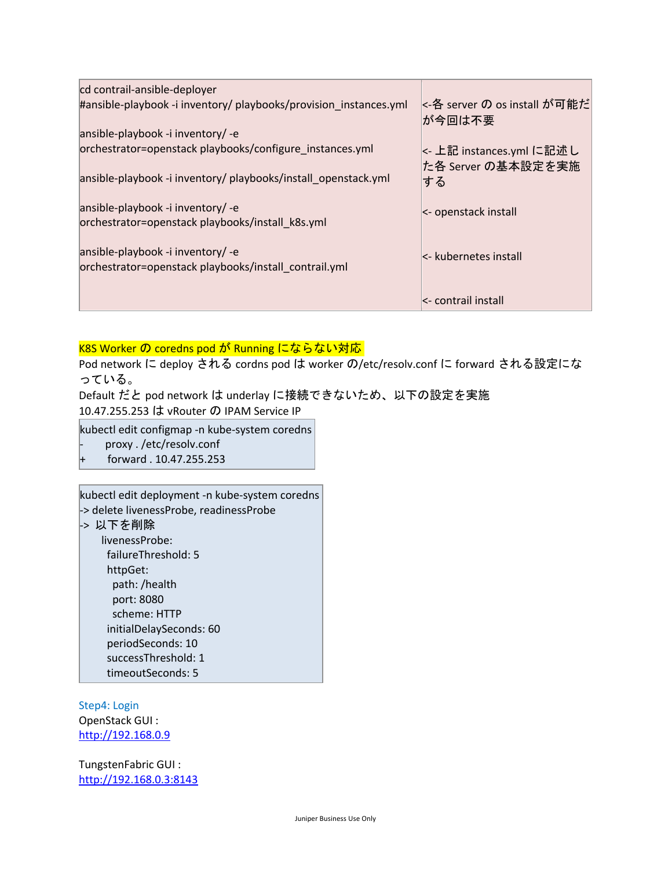| cd contrail-ansible-deployer                                                               |                                        |
|--------------------------------------------------------------------------------------------|----------------------------------------|
| #ansible-playbook -i inventory/ playbooks/provision_instances.yml                          | k-各 server の os install が可能だ<br>が今回は不要 |
| ansible-playbook -i inventory/ -e                                                          |                                        |
| orchestrator=openstack playbooks/configure instances.yml                                   | <- 上記 instances.yml に記述し               |
| ansible-playbook -i inventory/ playbooks/install_openstack.yml                             | た各 Server の基本設定を実施<br>する               |
| ansible-playbook -i inventory/ -e                                                          | $\kappa$ - openstack install           |
| orchestrator=openstack playbooks/install k8s.yml                                           |                                        |
| ansible-playbook -i inventory/ -e<br>orchestrator=openstack playbooks/install_contrail.yml | $\lt$ - kubernetes install             |
|                                                                                            | <- contrail install                    |

## K8S Worker の coredns pod が Running にならない対応

Pod network に deploy される cordns pod は worker の/etc/resolv.conf に forward される設定にな っている。

Default だと pod network は underlay に接続できないため、以下の設定を実施 10.47.255.253 は vRouter の IPAM Service IP

kubectl edit configmap -n kube-system coredns

- proxy . /etc/resolv.conf
- + forward . 10.47.255.253

kubectl edit deployment -n kube-system coredns -> delete livenessProbe, readinessProbe

-> 以下を削除

livenessProbe: failureThreshold: 5 httpGet: path: /health port: 8080 scheme: HTTP initialDelaySeconds: 60 periodSeconds: 10 successThreshold: 1 timeoutSeconds: 5

Step4: Login OpenStack GUI : http://192.168.0.9

TungstenFabric GUI : http://192.168.0.3:8143